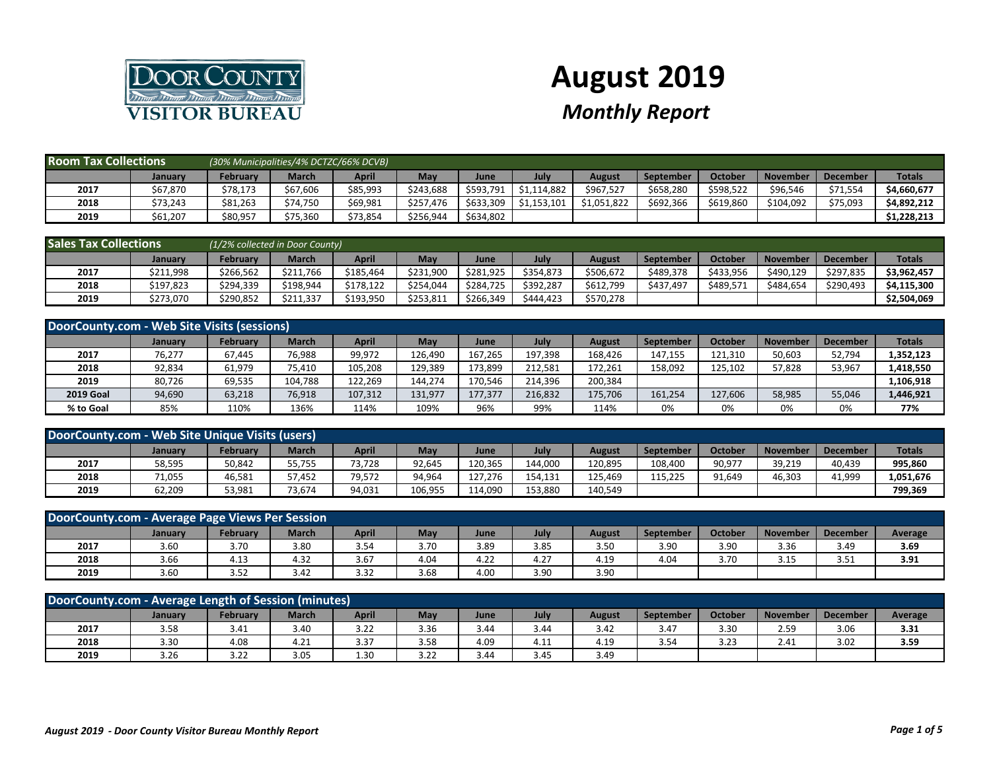

## **August 2019**

## *Monthly Report*

| <b>Room Tax Collections</b> |                | (30% Municipalities/4% DCTZC/66% DCVB) |              |          |           |           |             |             |                  |                |                 |                 |               |
|-----------------------------|----------------|----------------------------------------|--------------|----------|-----------|-----------|-------------|-------------|------------------|----------------|-----------------|-----------------|---------------|
|                             | <b>January</b> | Februarv                               | <b>March</b> | April    | May       | June      | July        | August      | <b>September</b> | <b>October</b> | <b>November</b> | <b>December</b> | <b>Totals</b> |
| 2017                        | \$67,870       | \$78,173                               | \$67,606     | \$85,993 | \$243.688 | \$593,791 | \$1,114,882 | \$967,527   | \$658,280        | \$598,522      | \$96,546        | \$71,554        | \$4,660,677   |
| 2018                        | \$73,243       | \$81,263                               | \$74,750     | \$69,981 | \$257.476 | \$633,309 | \$1,153,101 | \$1.051.822 | \$692.366        | \$619,860      | \$104.092       | \$75,093        | \$4.892.212   |
| 2019                        | \$61,207       | \$80,957                               | \$75,360     | \$73,854 | \$256,944 | \$634,802 |             |             |                  |                |                 |                 | \$1,228,213   |

| <b>Sales Tax Collections</b> |           | (1/2% collected in Door County) |              |           |           |           |           |           |           |                |                 |                 |               |
|------------------------------|-----------|---------------------------------|--------------|-----------|-----------|-----------|-----------|-----------|-----------|----------------|-----------------|-----------------|---------------|
|                              | January   | Februarv                        | <b>March</b> | April     | May       | June      | July      | August    | September | <b>October</b> | <b>November</b> | <b>December</b> | <b>Totals</b> |
| 2017                         | \$211,998 | \$266.562                       | \$211.766    | \$185.464 | \$231,900 | \$281.925 | \$354,873 | \$506.672 | \$489.378 | \$433,956      | \$490.129       | \$297,835       | \$3,962,457   |
| 2018                         | \$197.823 | \$294,339                       | \$198.944    | \$178.122 | \$254.044 | \$284.725 | \$392.287 | \$612,799 | \$437,497 | \$489,571      | \$484.654       | \$290,493       | \$4,115,300   |
| 2019                         | \$273,070 | \$290,852                       | \$211,337    | \$193,950 | \$253,811 | \$266,349 | \$444.423 | \$570,278 |           |                |                 |                 | \$2,504,069   |

| DoorCounty.com - Web Site Visits (sessions) |                |          |         |         |         |         |         |         |                  |         |                 |                 |               |
|---------------------------------------------|----------------|----------|---------|---------|---------|---------|---------|---------|------------------|---------|-----------------|-----------------|---------------|
|                                             | <b>January</b> | February | March   | April   | May     | June    | July    | August  | <b>September</b> | October | <b>November</b> | <b>December</b> | <b>Totals</b> |
| 2017                                        | 76,277         | 67,445   | 76,988  | 99,972  | 126.490 | 167,265 | 197,398 | 168.426 | 147,155          | 121,310 | 50,603          | 52,794          | 1,352,123     |
| 2018                                        | 92,834         | 61,979   | 75,410  | 105,208 | 129,389 | 173,899 | 212,581 | 172,261 | 158,092          | 125,102 | 57,828          | 53,967          | 1,418,550     |
| 2019                                        | 80,726         | 69,535   | 104,788 | 122,269 | 144,274 | 170,546 | 214.396 | 200,384 |                  |         |                 |                 | 1,106,918     |
| <b>2019 Goal</b>                            | 94,690         | 63,218   | 76,918  | 107,312 | 131,977 | 177,377 | 216.832 | 175,706 | 161,254          | 127,606 | 58,985          | 55,046          | 1,446,921     |
| % to Goal                                   | 85%            | 110%     | 136%    | 114%    | 109%    | 96%     | 99%     | 114%    | 0%               | 0%      | 0%              | 0%              | 77%           |

| DoorCounty.com - Web Site Unique Visits (users) |                |                 |              |        |         |         |         |         |                  |                     |                 |                 |               |
|-------------------------------------------------|----------------|-----------------|--------------|--------|---------|---------|---------|---------|------------------|---------------------|-----------------|-----------------|---------------|
|                                                 | <b>January</b> | <b>February</b> | <b>March</b> | April  | May     | June    | July    | August  | <b>September</b> | Octobe <sub>1</sub> | <b>November</b> | <b>December</b> | <b>Totals</b> |
| 2017                                            | 58,595         | 50,842          | 55,755       | 3.728  | 92,645  | 120.365 | 144.000 | 120.895 | 108.400          | 90,977              | 39,219          | 40.439          | 995,860       |
| 2018                                            | 71,055         | 46,581          | 57,452       | 79,572 | 94,964  | 127,276 | 154.131 | 125.469 | 115.225          | 91,649              | 46,303          | 41,999          | 1,051,676     |
| 2019                                            | 62,209         | 53,981          | 73.674       | 14,031 | 106,955 | 114.090 | 153,880 | 140.549 |                  |                     |                 |                 | 799,369       |

| DoorCounty.com - Average Page Views Per Session |         |          |              |       |      |      |      |        |                  |         |                 |                 |         |
|-------------------------------------------------|---------|----------|--------------|-------|------|------|------|--------|------------------|---------|-----------------|-----------------|---------|
|                                                 | January | Februarv | <b>March</b> | April | May  | June | July | August | <b>September</b> | October | <b>November</b> | <b>December</b> | Average |
| 2017                                            | 3.60    | 3.70     | 3.80         | 3.54  | 3.70 | 3.89 | 3.85 | 3.50   | 3.90             | 3.90    | 3.36            | 3.49            | 3.69    |
| 2018                                            | 3.66    | 4.13     | 4.32         | 3.67  | 4.04 | 4.22 | 4.27 | 4.19   | 4.04             | 3.70    | 3.15            | 3.51            | 3.91    |
| 2019                                            | 3.60    | 3.52     | 3.42         | 3.32  | 3.68 | 4.00 | 3.90 | 3.90   |                  |         |                 |                 |         |

| DoorCounty.com - Average Length of Session (minutes) |                |          |              |       |      |      |      |        |           |                 |                 |                 |         |
|------------------------------------------------------|----------------|----------|--------------|-------|------|------|------|--------|-----------|-----------------|-----------------|-----------------|---------|
|                                                      | <b>January</b> | Februarv | <b>March</b> | April | May  | June | July | August | September | October         | <b>November</b> | <b>December</b> | Average |
| 2017                                                 | 3.58           | 3.41     | 3.40         | 3.22  | 3.36 | 3.44 | 3.44 | 3.42   | 3.47      | 3.30            | 2.59            | 3.06            | 3.31    |
| 2018                                                 | 3.30           | 4.08     | 4.21         | 3.37  | 3.58 | 4.09 | 4.11 | 4.19   | 3.54      | 3 23<br>۔ ے . د | 2.41            | 3.02            | 3.59    |
| 2019                                                 | 3.26           | 3.22     | 3.05         | 1.30  | 3.22 | 3.44 | 3.45 | 3.49   |           |                 |                 |                 |         |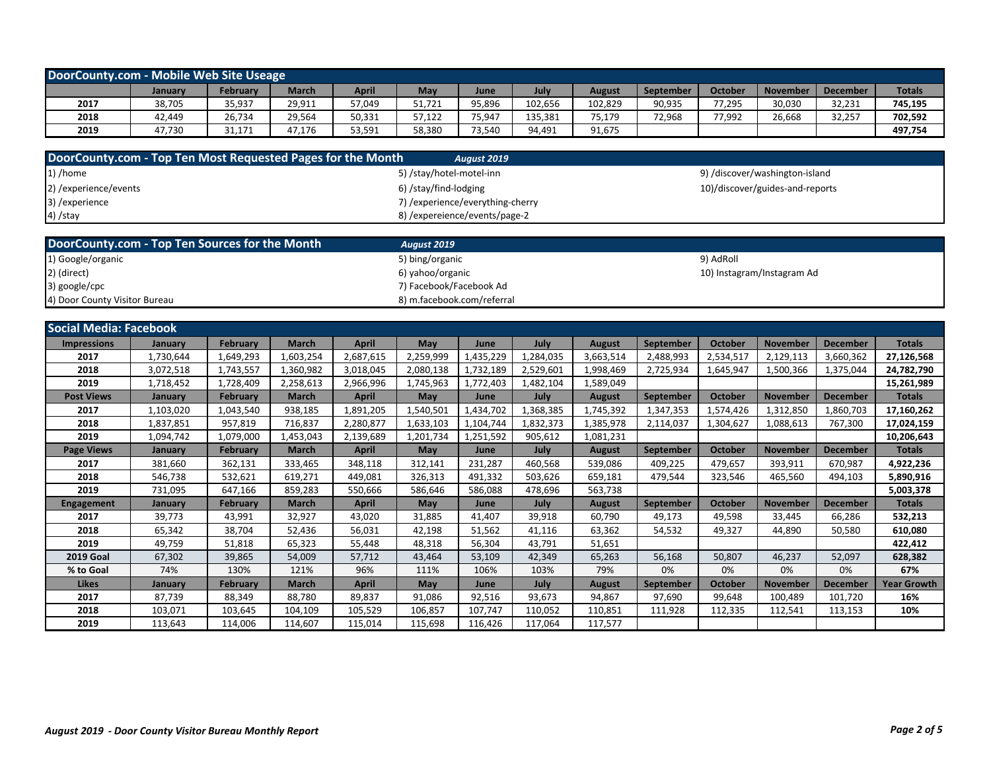| DoorCounty.com - Mobile Web Site Useage                     |                |                 |              |              |                                  |                    |           |               |           |                |                                 |                 |                    |
|-------------------------------------------------------------|----------------|-----------------|--------------|--------------|----------------------------------|--------------------|-----------|---------------|-----------|----------------|---------------------------------|-----------------|--------------------|
|                                                             | January        | <b>February</b> | <b>March</b> | <b>April</b> | May                              | June               | July      | <b>August</b> | September | <b>October</b> | <b>November</b>                 | <b>December</b> | <b>Totals</b>      |
| 2017                                                        | 38,705         | 35,937          | 29,911       | 57,049       | 51,721                           | 95,896             | 102,656   | 102,829       | 90,935    | 77,295         | 30,030                          | 32,231          | 745,195            |
| 2018                                                        | 42,449         | 26,734          | 29,564       | 50,331       | 57,122                           | 75,947             | 135,381   | 75,179        | 72,968    | 77,992         | 26,668                          | 32,257          | 702,592            |
| 2019                                                        | 47,730         | 31,171          | 47,176       | 53,591       | 58,380                           | 73,540             | 94,491    | 91,675        |           |                |                                 |                 | 497,754            |
|                                                             |                |                 |              |              |                                  |                    |           |               |           |                |                                 |                 |                    |
| DoorCounty.com - Top Ten Most Requested Pages for the Month |                |                 |              |              |                                  | <b>August 2019</b> |           |               |           |                |                                 |                 |                    |
| 1) /home                                                    |                |                 |              |              | 5) /stay/hotel-motel-inn         |                    |           |               |           |                | 9) /discover/washington-island  |                 |                    |
| 2) / experience/ events                                     |                |                 |              |              | 6) /stay/find-lodging            |                    |           |               |           |                | 10)/discover/guides-and-reports |                 |                    |
| 3) /experience                                              |                |                 |              |              | 7) /experience/everything-cherry |                    |           |               |           |                |                                 |                 |                    |
| 4) /stay                                                    |                |                 |              |              | 8) / expereience/events/page-2   |                    |           |               |           |                |                                 |                 |                    |
|                                                             |                |                 |              |              |                                  |                    |           |               |           |                |                                 |                 |                    |
| DoorCounty.com - Top Ten Sources for the Month              |                |                 |              |              | <b>August 2019</b>               |                    |           |               |           |                |                                 |                 |                    |
| 1) Google/organic                                           |                |                 |              |              | 5) bing/organic                  |                    |           |               |           | 9) AdRoll      |                                 |                 |                    |
| 2) (direct)                                                 |                |                 |              |              | 6) yahoo/organic                 |                    |           |               |           |                | 10) Instagram/Instagram Ad      |                 |                    |
| 3) google/cpc                                               |                |                 |              |              | 7) Facebook/Facebook Ad          |                    |           |               |           |                |                                 |                 |                    |
| 4) Door County Visitor Bureau                               |                |                 |              |              | 8) m.facebook.com/referral       |                    |           |               |           |                |                                 |                 |                    |
|                                                             |                |                 |              |              |                                  |                    |           |               |           |                |                                 |                 |                    |
| <b>Social Media: Facebook</b>                               |                |                 |              |              |                                  |                    |           |               |           |                |                                 |                 |                    |
| <b>Impressions</b>                                          | <b>January</b> | February        | <b>March</b> | <b>April</b> | May                              | June               | July      | <b>August</b> | September | October        | <b>November</b>                 | <b>December</b> | <b>Totals</b>      |
| 2017                                                        | 1,730,644      | 1,649,293       | 1,603,254    | 2,687,615    | 2,259,999                        | 1,435,229          | 1,284,035 | 3,663,514     | 2,488,993 | 2,534,517      | 2,129,113                       | 3,660,362       | 27,126,568         |
| 2018                                                        | 3,072,518      | 1,743,557       | 1,360,982    | 3,018,045    | 2,080,138                        | 1,732,189          | 2,529,601 | 1,998,469     | 2,725,934 | 1,645,947      | 1,500,366                       | 1,375,044       | 24,782,790         |
| 2019                                                        | 1,718,452      | 1,728,409       | 2,258,613    | 2,966,996    | 1,745,963                        | 1,772,403          | 1,482,104 | 1,589,049     |           |                |                                 |                 | 15,261,989         |
| <b>Post Views</b>                                           | January        | February        | <b>March</b> | April        | May                              | June               | July      | August        | September | <b>October</b> | <b>November</b>                 | <b>December</b> | <b>Totals</b>      |
| 2017                                                        | 1,103,020      | 1,043,540       | 938,185      | 1,891,205    | 1,540,501                        | 1,434,702          | 1,368,385 | 1,745,392     | 1,347,353 | 1,574,426      | 1,312,850                       | 1,860,703       | 17,160,262         |
| 2018                                                        | 1,837,851      | 957,819         | 716,837      | 2,280,877    | 1,633,103                        | 1,104,744          | 1,832,373 | 1,385,978     | 2,114,037 | 1,304,627      | 1,088,613                       | 767,300         | 17,024,159         |
| 2019                                                        | 1,094,742      | 1,079,000       | 1,453,043    | 2,139,689    | 1,201,734                        | 1,251,592          | 905,612   | 1,081,231     |           |                |                                 |                 | 10,206,643         |
| <b>Page Views</b>                                           | January        | <b>February</b> | <b>March</b> | <b>April</b> | May                              | June               | July      | August        | September | October        | <b>November</b>                 | <b>December</b> | <b>Totals</b>      |
| 2017                                                        | 381,660        | 362,131         | 333,465      | 348,118      | 312,141                          | 231,287            | 460,568   | 539,086       | 409,225   | 479,657        | 393,911                         | 670,987         | 4,922,236          |
| 2018                                                        | 546,738        | 532,621         | 619,271      | 449,081      | 326,313                          | 491,332            | 503,626   | 659,181       | 479,544   | 323,546        | 465,560                         | 494,103         | 5,890,916          |
| 2019                                                        | 731,095        | 647,166         | 859,283      | 550,666      | 586,646                          | 586,088            | 478,696   | 563,738       |           |                |                                 |                 | 5,003,378          |
| <b>Engagement</b>                                           | January        | <b>February</b> | <b>March</b> | <b>April</b> | May                              | June               | July      | <b>August</b> | September | October        | <b>November</b>                 | <b>December</b> | <b>Totals</b>      |
| 2017                                                        | 39,773         | 43,991          | 32,927       | 43,020       | 31,885                           | 41,407             | 39,918    | 60,790        | 49,173    | 49,598         | 33,445                          | 66,286          | 532,213            |
| 2018                                                        | 65,342         | 38,704          | 52,436       | 56,031       | 42,198                           | 51,562             | 41,116    | 63,362        | 54,532    | 49,327         | 44,890                          | 50,580          | 610,080            |
| 2019                                                        | 49,759         | 51,818          | 65,323       | 55,448       | 48,318                           | 56,304             | 43,791    | 51,651        |           |                |                                 |                 | 422,412            |
| <b>2019 Goal</b>                                            | 67,302         | 39,865          | 54,009       | 57,712       | 43,464                           | 53,109             | 42,349    | 65,263        | 56,168    | 50,807         | 46,237                          | 52,097          | 628,382            |
| % to Goal                                                   | 74%            | 130%            | 121%         | 96%          | 111%                             | 106%               | 103%      | 79%           | 0%        | 0%             | 0%                              | 0%              | 67%                |
| <b>Likes</b>                                                | January        | February        | <b>March</b> | <b>April</b> | May                              | June               | July      | <b>August</b> | September | <b>October</b> | <b>November</b>                 | <b>December</b> | <b>Year Growth</b> |
| 2017                                                        | 87,739         | 88,349          | 88,780       | 89,837       | 91,086                           | 92,516             | 93,673    | 94,867        | 97,690    | 99,648         | 100,489                         | 101,720         | 16%                |
| 2018                                                        | 103,071        | 103,645         | 104,109      | 105,529      | 106,857                          | 107,747            | 110,052   | 110,851       | 111,928   | 112,335        | 112,541                         | 113,153         | 10%                |
| 2019                                                        | 113,643        | 114,006         | 114,607      | 115,014      | 115,698                          | 116,426            | 117,064   | 117,577       |           |                |                                 |                 |                    |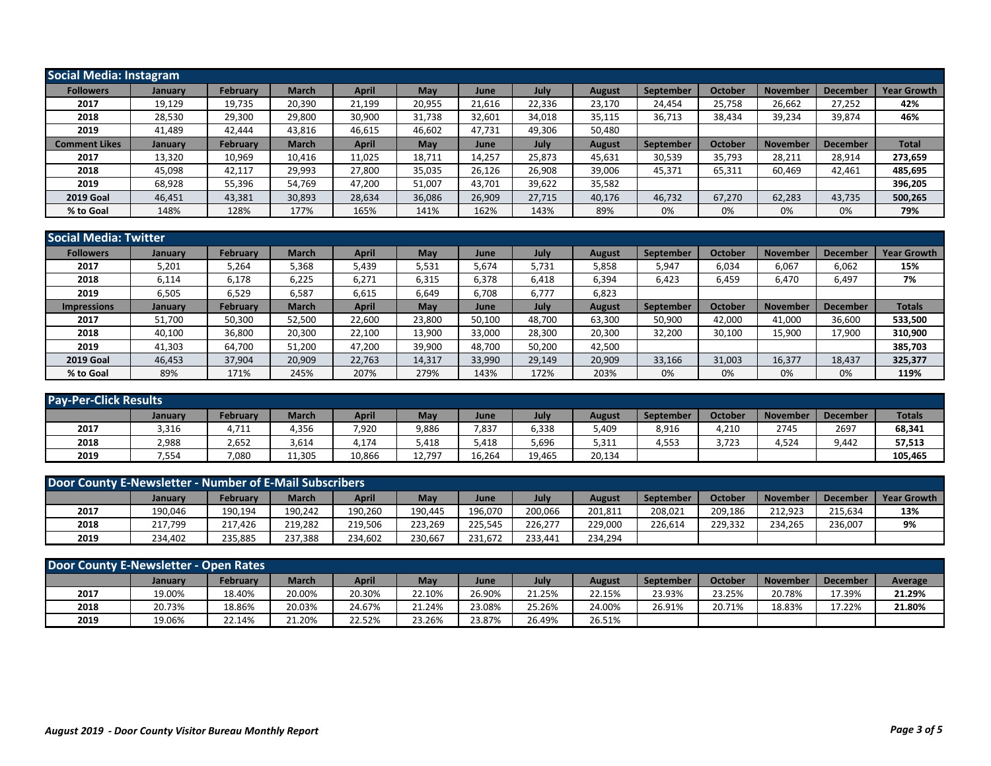| <b>Social Media: Instagram</b> |         |                 |              |              |        |        |        |               |                  |                |                 |                 |                    |
|--------------------------------|---------|-----------------|--------------|--------------|--------|--------|--------|---------------|------------------|----------------|-----------------|-----------------|--------------------|
| <b>Followers</b>               | January | February        | <b>March</b> | <b>April</b> | May    | June   | July   | <b>August</b> | September        | <b>October</b> | <b>November</b> | <b>December</b> | <b>Year Growth</b> |
| 2017                           | 19,129  | 19,735          | 20,390       | 21,199       | 20,955 | 21,616 | 22,336 | 23,170        | 24,454           | 25,758         | 26,662          | 27,252          | 42%                |
| 2018                           | 28,530  | 29,300          | 29,800       | 30,900       | 31,738 | 32,601 | 34,018 | 35,115        | 36,713           | 38,434         | 39,234          | 39,874          | 46%                |
| 2019                           | 41,489  | 42.444          | 43,816       | 46,615       | 46,602 | 47,731 | 49,306 | 50,480        |                  |                |                 |                 |                    |
| <b>Comment Likes</b>           | January | <b>February</b> | <b>March</b> | <b>April</b> | May    | June   | July   | <b>August</b> | <b>September</b> | <b>October</b> | <b>November</b> | <b>December</b> | <b>Total</b>       |
| 2017                           | 13,320  | 10,969          | 10,416       | 11,025       | 18,711 | 14,257 | 25,873 | 45,631        | 30,539           | 35,793         | 28,211          | 28,914          | 273,659            |
| 2018                           | 45,098  | 42,117          | 29,993       | 27,800       | 35,035 | 26,126 | 26,908 | 39,006        | 45,371           | 65,311         | 60,469          | 42,461          | 485,695            |
| 2019                           | 68,928  | 55,396          | 54,769       | 47,200       | 51,007 | 43,701 | 39,622 | 35,582        |                  |                |                 |                 | 396,205            |
| <b>2019 Goal</b>               | 46,451  | 43,381          | 30,893       | 28,634       | 36,086 | 26,909 | 27,715 | 40,176        | 46,732           | 67.270         | 62,283          | 43,735          | 500,265            |
| % to Goal                      | 148%    | 128%            | 177%         | 165%         | 141%   | 162%   | 143%   | 89%           | 0%               | 0%             | 0%              | 0%              | 79%                |

| <b>Social Media: Twitter</b> |                |          |              |              |        |        |        |               |           |                |                 |                 |                    |
|------------------------------|----------------|----------|--------------|--------------|--------|--------|--------|---------------|-----------|----------------|-----------------|-----------------|--------------------|
| <b>Followers</b>             | January        | February | <b>March</b> | <b>April</b> | May    | June   | July   | <b>August</b> | September | October        | <b>November</b> | <b>December</b> | <b>Year Growth</b> |
| 2017                         | 5,201          | 5,264    | 5,368        | 5,439        | 5,531  | 5,674  | 5,731  | 5,858         | 5,947     | 6,034          | 6,067           | 6,062           | 15%                |
| 2018                         | 6,114          | 6,178    | 6,225        | 6,271        | 6,315  | 6,378  | 6,418  | 6,394         | 6,423     | 6,459          | 6,470           | 6,497           | 7%                 |
| 2019                         | 6,505          | 6,529    | 6,587        | 6,615        | 6,649  | 6,708  | 6,777  | 6,823         |           |                |                 |                 |                    |
| <b>Impressions</b>           | <b>January</b> | February | <b>March</b> | <b>April</b> | May    | June   | July   | <b>August</b> | September | <b>October</b> | <b>November</b> | <b>December</b> | <b>Totals</b>      |
| 2017                         | 51,700         | 50,300   | 52,500       | 22,600       | 23,800 | 50,100 | 48,700 | 63,300        | 50,900    | 42,000         | 41,000          | 36,600          | 533,500            |
| 2018                         | 40,100         | 36,800   | 20,300       | 22,100       | 13,900 | 33,000 | 28,300 | 20,300        | 32,200    | 30,100         | 15,900          | 17,900          | 310,900            |
| 2019                         | 41,303         | 64,700   | 51,200       | 47,200       | 39,900 | 48.700 | 50,200 | 42,500        |           |                |                 |                 | 385.703            |
| <b>2019 Goal</b>             | 46,453         | 37,904   | 20,909       | 22,763       | 14,317 | 33,990 | 29,149 | 20,909        | 33,166    | 31,003         | 16,377          | 18,437          | 325,377            |
| % to Goal                    | 89%            | 171%     | 245%         | 207%         | 279%   | 143%   | 172%   | 203%          | 0%        | 0%             | 0%              | 0%              | 119%               |

| <b>Pay-Per-Click Results</b> |         |          |              |        |        |        |        |        |           |         |                 |                 |               |
|------------------------------|---------|----------|--------------|--------|--------|--------|--------|--------|-----------|---------|-----------------|-----------------|---------------|
|                              | January | February | <b>March</b> | April  | May    | June   | July   | August | September | October | <b>November</b> | <b>December</b> | <b>Totals</b> |
| 2017                         | 3,316   | 4,711    | 4,356        | 7,920  | 9,886  | 7,837  | 6,338  | 5,409  | 8,916     | 4,210   | 2745            | 2697            | 68,341        |
| 2018                         | 2,988   | 2,652    | 3,614        | 4,174  | 5,418  | 5,418  | 5,696  | 5,311  | 4,553     | 3,723   | 4,524           | 9,442           | 57,513        |
| 2019                         | 7,554   | 7,080    | 11,305       | 10,866 | 12,797 | 16,264 | 19,465 | 20,134 |           |         |                 |                 | 105,465       |

| Door County E-Newsletter - Number of E-Mail Subscribers |         |          |              |         |         |         |         |               |           |                |          |          |                    |
|---------------------------------------------------------|---------|----------|--------------|---------|---------|---------|---------|---------------|-----------|----------------|----------|----------|--------------------|
|                                                         | January | February | <b>March</b> | April   | May     | June    | July    | <b>August</b> | September | <b>October</b> | November | December | <b>Year Growth</b> |
| 2017                                                    | 190.046 | 190.194  | 190.242      | 190.260 | 190.445 | 196.070 | 200.066 | 201.811       | 208.021   | 209.186        | 212.923  | 215.634  | 13%                |
| 2018                                                    | 217.799 | 217.426  | 219.282      | 219.506 | 223.269 | 225.545 | 226.277 | 229.000       | 226.614   | 229.332        | 234.265  | 236,007  | 9%                 |
| 2019                                                    | 234.402 | 235,885  | 237,388      | 234,602 | 230,667 | 231,672 | 233,441 | 234,294       |           |                |          |          |                    |

| Door County E-Newsletter - Open Rates |                |          |        |        |        |        |        |        |           |         |                 |                 |         |
|---------------------------------------|----------------|----------|--------|--------|--------|--------|--------|--------|-----------|---------|-----------------|-----------------|---------|
|                                       | <b>January</b> | February | March  | April  | May    | June   | July   | August | September | October | <b>November</b> | <b>December</b> | Average |
| 2017                                  | 19.00%         | 18.40%   | 20.00% | 20.30% | 22.10% | 26.90% | 21.25% | 22.15% | 23.93%    | 23.25%  | 20.78%          | 17.39%          | 21.29%  |
| 2018                                  | 20.73%         | 18.86%   | 20.03% | 24.67% | 21.24% | 23.08% | 25.26% | 24.00% | 26.91%    | 20.71%  | 18.83%          | 17.22%          | 21.80%  |
| 2019                                  | 19.06%         | 22.14%   | 21.20% | 22.52% | 23.26% | 23.87% | 26.49% | 26.51% |           |         |                 |                 |         |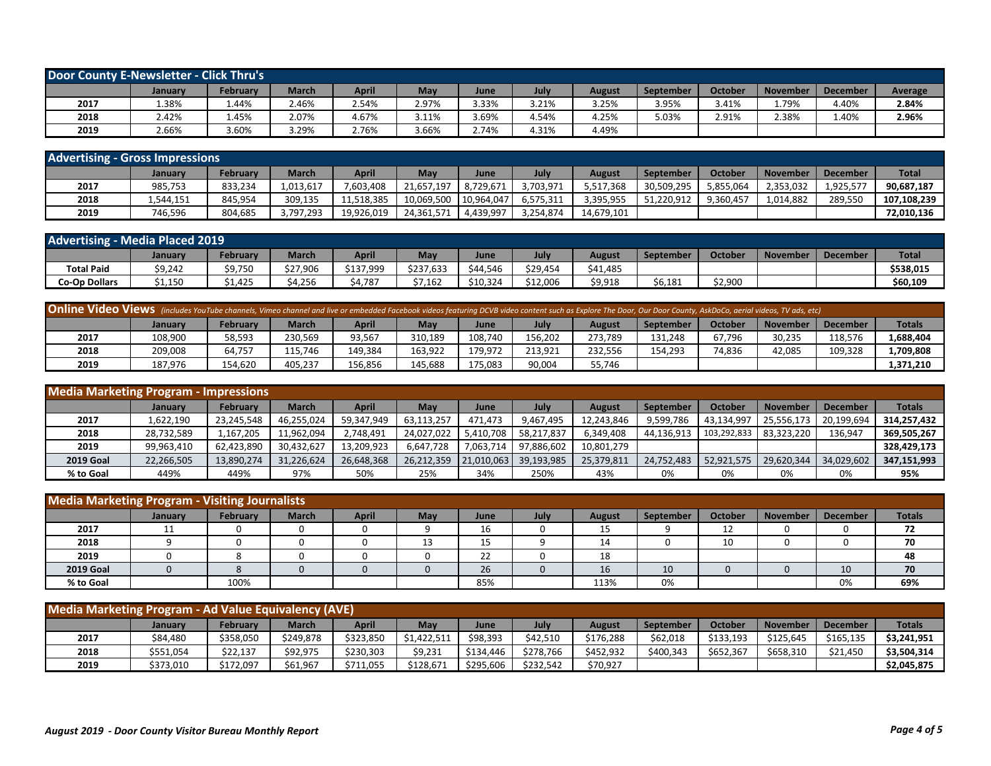| Door County E-Newsletter - Click Thru's |         |              |              |       |       |       |       |        |                  |         |                 |                 |         |
|-----------------------------------------|---------|--------------|--------------|-------|-------|-------|-------|--------|------------------|---------|-----------------|-----------------|---------|
|                                         | January | February     | <b>March</b> | April | May   | June  | July  | August | <b>September</b> | October | <b>November</b> | <b>December</b> | Average |
| 2017                                    | 1.38%   | 1.44%        | 2.46%        | 2.54% | 2.97% | 3.33% | 3.21% | 3.25%  | 3.95%            | 3.41%   | 1.79%           | 1.40%           | 2.84%   |
| 2018                                    | 2.42%   | <b>1.45%</b> | 2.07%        | 4.67% | 3.11% | 3.69% | 4.54% | 4.25%  | 5.03%            | 2.91%   | 2.38%           | 1.40%           | 2.96%   |
| 2019                                    | 2.66%   | 3.60%        | 3.29%        | 2.76% | 3.66% | 2.74% | 4.31% | 4.49%  |                  |         |                 |                 |         |

| <b>Advertising - Gross Impressions</b> |           |          |              |              |            |            |           |            |                  |                |                 |                 |              |
|----------------------------------------|-----------|----------|--------------|--------------|------------|------------|-----------|------------|------------------|----------------|-----------------|-----------------|--------------|
|                                        | January   | February | <b>March</b> | <b>April</b> | May        | June       | July      | August     | <b>September</b> | <b>October</b> | <b>November</b> | <b>December</b> | <b>Total</b> |
| 2017                                   | 985,753   | 833,234  | 1,013,617    | 7,603,408    | 21,657,197 | 8,729,671  | 3,703,971 | 5,517,368  | 30,509,295       | 5,855,064      | 2,353,032       | 1,925,577       | 90,687,187   |
| 2018                                   | 1.544.151 | 845.954  | 309.135      | 11,518,385   | 10,069,500 | 10.964.047 | 6,575,311 | 3,395,955  | 51.220.912       | 9.360.457      | 1,014,882       | 289.550         | 107,108,239  |
| 2019                                   | 746,596   | 804,685  | 3,797,293    | 19,926,019   | 24,361,571 | 4.439.997  | 3,254,874 | 14,679,101 |                  |                |                 |                 | 72,010,136   |

| <b>Advertising - Media Placed 2019</b> |         |          |          |           |           |          |          |          |           |                |                 |                 |              |
|----------------------------------------|---------|----------|----------|-----------|-----------|----------|----------|----------|-----------|----------------|-----------------|-----------------|--------------|
|                                        | January | February | March    | April     | May       | June     | July     | August   | September | <b>October</b> | <b>November</b> | <b>December</b> | <b>Total</b> |
| <b>Total Paid</b>                      | \$9,242 | \$9,750  | \$27.906 | \$137.999 | \$237,633 | \$44.546 | \$29.454 | \$41,485 |           |                |                 |                 | \$538.015    |
| <b>Co-Op Dollars</b>                   | \$1,150 | 425ء     | `4,256   | 4,787     | \$7,162   | \$10,324 | \$12,006 | \$9,918  | \$6,181   | \$2,900        |                 |                 | \$60,109     |

| <b>Online Video Views</b> (includes YouTube channels, Vimeo channel and live or embedded Facebook videos featuring DCVB video content such as Explore The Door, Our Door County, AskDoCo, aerial videos, TV ads, etc) |         |          |              |         |         |         |         |         |           |         |                 |                 |               |
|-----------------------------------------------------------------------------------------------------------------------------------------------------------------------------------------------------------------------|---------|----------|--------------|---------|---------|---------|---------|---------|-----------|---------|-----------------|-----------------|---------------|
|                                                                                                                                                                                                                       | January | Februarv | <b>March</b> | April   | May     | June    | July    | August  | September | October | <b>November</b> | <b>December</b> | <b>Totals</b> |
| 2017                                                                                                                                                                                                                  | 108.900 | 58.593   | 230.569      | 93,567  | 310,189 | 108.740 | 156.202 | 273.789 | 131.248   | 67,796  | 30.235          | 118,576         | .,688,404     |
| 2018                                                                                                                                                                                                                  | 209,008 | 64,757   | 115.746      | 149,384 | 163.922 | 179,972 | 213.921 | 232,556 | 154,293   | 74,836  | 42,085          | 109.328         | L,709,808     |
| 2019                                                                                                                                                                                                                  | 187,976 | 154,620  | 405,237      | 156,856 | 145,688 | 175,083 | 90,004  | 55,746  |           |         |                 |                 | 1,371,210     |

| <b>Media Marketing Program - Impressions</b> |                |            |            |              |            |            |            |               |            |             |                 |                 |               |
|----------------------------------------------|----------------|------------|------------|--------------|------------|------------|------------|---------------|------------|-------------|-----------------|-----------------|---------------|
|                                              | <b>January</b> | February   | March      | <b>April</b> | May        | June       | July       | <b>August</b> | September  | October     | <b>November</b> | <b>December</b> | <b>Totals</b> |
| 2017                                         | 1,622,190      | 23.245.548 | 46,255,024 | 59,347,949   | 63,113,257 | 471.473    | 9,467,495  | 12,243,846    | 9.599.786  | 43,134,997  | 25,556,173      | 20,199,694      | 314,257,432   |
| 2018                                         | 28,732,589     | 167.205    | 11,962,094 | 2,748,491    | 24,027,022 | 5.410.708  | 58,217,837 | 6,349,408     | 44,136,913 | 103,292,833 | 83,323,220      | 136,947         | 369,505,267   |
| 2019                                         | 99.963.410     | 62.423.890 | 30.432.627 | 13,209,923   | 6.647.728  | 7.063.714  | 97,886,602 | 10,801,279    |            |             |                 |                 | 328.429.173   |
| <b>2019 Goal</b>                             | 22,266,505     | 13,890,274 | 31,226,624 | 26,648,368   | 26,212,359 | 21,010,063 | 39,193,985 | 25,379,811    | 24.752.483 | 52,921,575  | 29.620.344      | 34,029,602      | 347,151,993   |
| % to Goal                                    | 449%           | 449%       | 97%        | 50%          | 25%        | 34%        | 250%       | 43%           | 0%         | 0%          | 0%              | 0%              | 95%           |

| <b>Media Marketing Program - Visiting Journalists</b> |         |          |              |              |     |      |      |               |           |          |          |                 |               |
|-------------------------------------------------------|---------|----------|--------------|--------------|-----|------|------|---------------|-----------|----------|----------|-----------------|---------------|
|                                                       | January | February | <b>March</b> | <b>April</b> | May | June | July | <b>August</b> | September | October  | November | <b>December</b> | <b>Totals</b> |
| 2017                                                  | 11      |          |              | v            |     | 16   | 0    | 15            |           | 12<br>ᅩᄼ |          |                 | 72            |
| 2018                                                  |         |          |              |              | ᅩ   | 15   |      | 14            |           | 10       |          |                 | 70            |
| 2019                                                  |         |          |              |              |     | 22   |      | 18            |           |          |          |                 | 48            |
| <b>2019 Goal</b>                                      |         |          |              |              |     | 26   |      | 16            | 10        |          |          | 10              | 70            |
| % to Goal                                             |         | 100%     |              |              |     | 85%  |      | 113%          | 0%        |          |          | 0%              | 69%           |

| Media Marketing Program - Ad Value Equivalency (AVE) |                |           |              |           |             |           |           |           |                  |           |           |                 |               |
|------------------------------------------------------|----------------|-----------|--------------|-----------|-------------|-----------|-----------|-----------|------------------|-----------|-----------|-----------------|---------------|
|                                                      | <b>January</b> | February  | <b>March</b> | April     | May         | June      | July      | August    | <b>September</b> | October   | November  | <b>December</b> | <b>Totals</b> |
| 2017                                                 | \$84,480       | \$358,050 | \$249.878    | \$323,850 | \$1,422,511 | \$98,393  | \$42,510  | \$176,288 | \$62,018         | \$133,193 | \$125,645 | \$165,135       | \$3,241,951   |
| 2018                                                 | \$551,054      | \$22,137  | \$92,975     | \$230,303 | \$9,231     | \$134,446 | \$278,766 | \$452,932 | \$400,343        | \$652,367 | \$658,310 | \$21,450        | \$3,504,314   |
| 2019                                                 | \$373,010      | \$172,097 | \$61,967     | \$711,055 | \$128,671   | \$295,606 | \$232.542 | \$70,927  |                  |           |           |                 | \$2,045,875   |